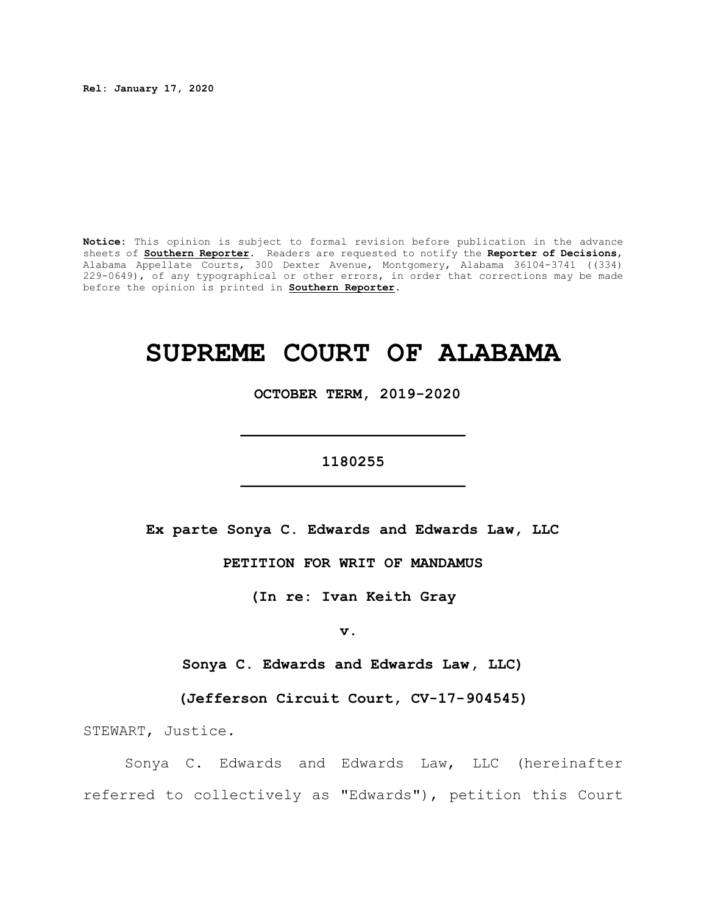**Rel: January 17, 2020**

**Notice:** This opinion is subject to formal revision before publication in the advance sheets of **Southern Reporter**. Readers are requested to notify the **Reporter of Decisions**, Alabama Appellate Courts, 300 Dexter Avenue, Montgomery, Alabama 36104-3741 ((334) 229-0649), of any typographical or other errors, in order that corrections may be made before the opinion is printed in **Southern Reporter**.

# **SUPREME COURT OF ALABAMA**

 **OCTOBER TERM, 2019-2020**

# **1180255 \_\_\_\_\_\_\_\_\_\_\_\_\_\_\_\_\_\_\_\_\_\_\_\_\_**

**\_\_\_\_\_\_\_\_\_\_\_\_\_\_\_\_\_\_\_\_\_\_\_\_\_**

**Ex parte Sonya C. Edwards and Edwards Law, LLC**

**PETITION FOR WRIT OF MANDAMUS**

**(In re: Ivan Keith Gray**

**v.** 

**Sonya C. Edwards and Edwards Law, LLC)**

**(Jefferson Circuit Court, CV-17-904545)**

STEWART, Justice.

Sonya C. Edwards and Edwards Law, LLC (hereinafter referred to collectively as "Edwards"), petition this Court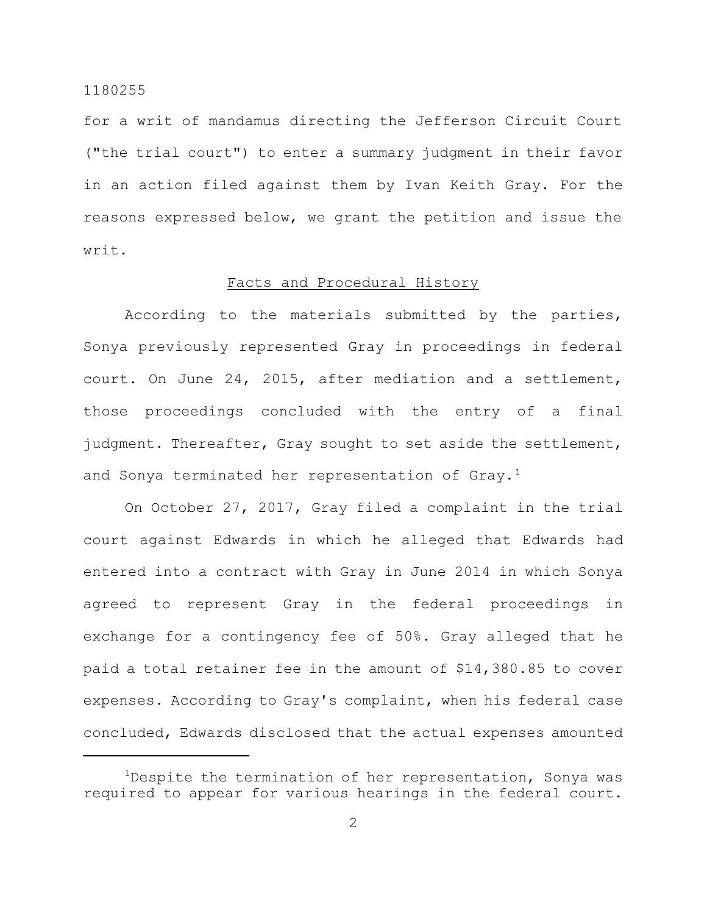for a writ of mandamus directing the Jefferson Circuit Court ("the trial court") to enter a summary judgment in their favor in an action filed against them by Ivan Keith Gray. For the reasons expressed below, we grant the petition and issue the writ.

# Facts and Procedural History

According to the materials submitted by the parties, Sonya previously represented Gray in proceedings in federal court. On June 24, 2015, after mediation and a settlement, those proceedings concluded with the entry of a final judgment. Thereafter, Gray sought to set aside the settlement, and Sonya terminated her representation of Gray.<sup>1</sup>

On October 27, 2017, Gray filed a complaint in the trial court against Edwards in which he alleged that Edwards had entered into a contract with Gray in June 2014 in which Sonya agreed to represent Gray in the federal proceedings in exchange for a contingency fee of 50%. Gray alleged that he paid a total retainer fee in the amount of \$14,380.85 to cover expenses. According to Gray's complaint, when his federal case concluded, Edwards disclosed that the actual expenses amounted

<sup>&</sup>lt;sup>1</sup>Despite the termination of her representation, Sonya was required to appear for various hearings in the federal court.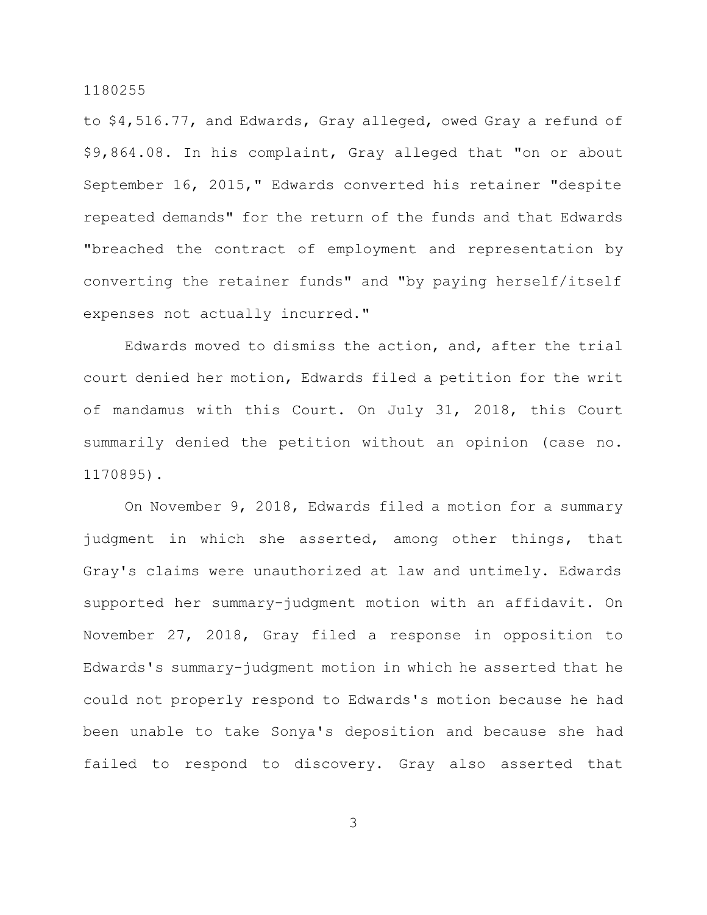to \$4,516.77, and Edwards, Gray alleged, owed Gray a refund of \$9,864.08. In his complaint, Gray alleged that "on or about September 16, 2015," Edwards converted his retainer "despite repeated demands" for the return of the funds and that Edwards "breached the contract of employment and representation by converting the retainer funds" and "by paying herself/itself expenses not actually incurred."

Edwards moved to dismiss the action, and, after the trial court denied her motion, Edwards filed a petition for the writ of mandamus with this Court. On July 31, 2018, this Court summarily denied the petition without an opinion (case no. 1170895).

On November 9, 2018, Edwards filed a motion for a summary judgment in which she asserted, among other things, that Gray's claims were unauthorized at law and untimely. Edwards supported her summary-judgment motion with an affidavit. On November 27, 2018, Gray filed a response in opposition to Edwards's summary-judgment motion in which he asserted that he could not properly respond to Edwards's motion because he had been unable to take Sonya's deposition and because she had failed to respond to discovery. Gray also asserted that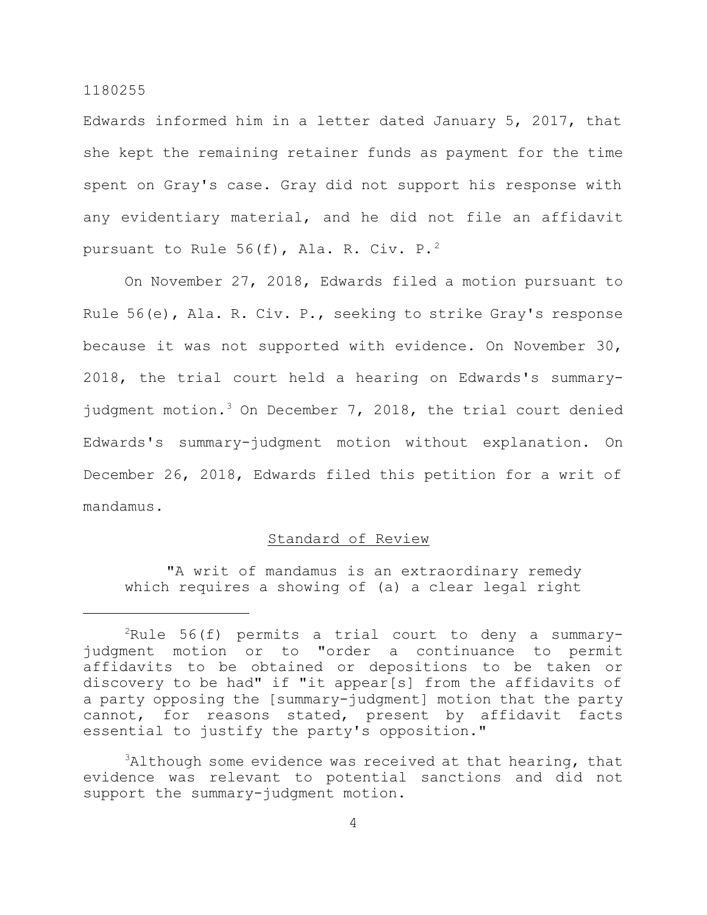Edwards informed him in a letter dated January 5, 2017, that she kept the remaining retainer funds as payment for the time spent on Gray's case. Gray did not support his response with any evidentiary material, and he did not file an affidavit pursuant to Rule 56(f), Ala. R. Civ.  $P^2$ .

On November 27, 2018, Edwards filed a motion pursuant to Rule 56(e), Ala. R. Civ. P., seeking to strike Gray's response because it was not supported with evidence. On November 30, 2018, the trial court held a hearing on Edwards's summaryjudgment motion.<sup>3</sup> On December 7, 2018, the trial court denied Edwards's summary-judgment motion without explanation. On December 26, 2018, Edwards filed this petition for a writ of mandamus.

## Standard of Review

"A writ of mandamus is an extraordinary remedy which requires a showing of (a) a clear legal right

 $2$ Rule 56(f) permits a trial court to deny a summaryjudgment motion or to "order a continuance to permit affidavits to be obtained or depositions to be taken or discovery to be had" if "it appear[s] from the affidavits of a party opposing the [summary-judgment] motion that the party cannot, for reasons stated, present by affidavit facts essential to justify the party's opposition."

 $3$ Although some evidence was received at that hearing, that evidence was relevant to potential sanctions and did not support the summary-judgment motion.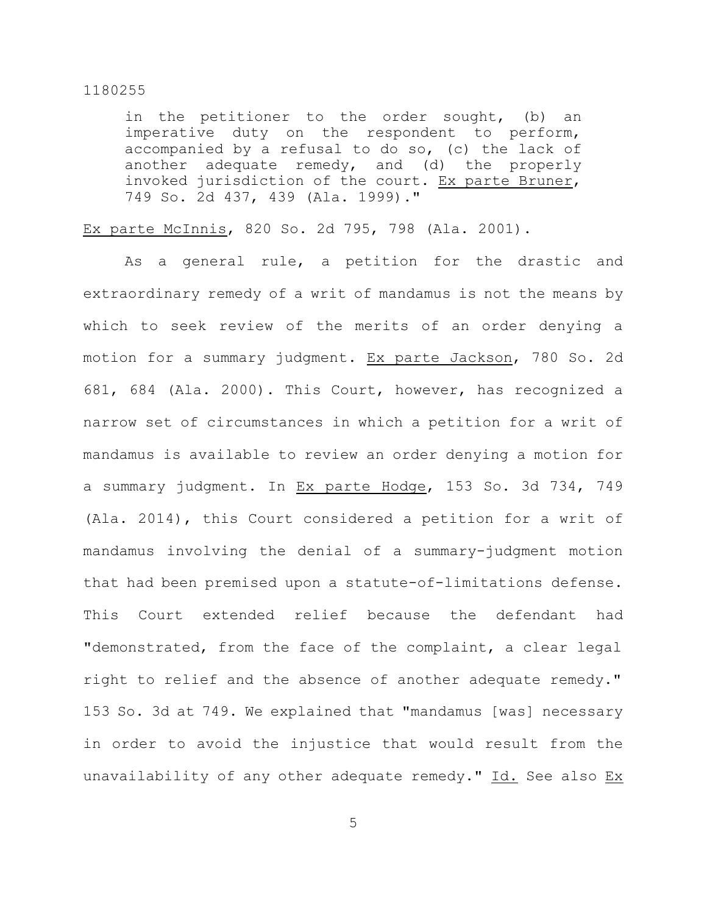in the petitioner to the order sought, (b) an imperative duty on the respondent to perform, accompanied by a refusal to do so, (c) the lack of another adequate remedy, and (d) the properly invoked jurisdiction of the court. Ex parte Bruner, 749 So. 2d 437, 439 (Ala. 1999)."

## Ex parte McInnis, 820 So. 2d 795, 798 (Ala. 2001).

As a general rule, a petition for the drastic and extraordinary remedy of a writ of mandamus is not the means by which to seek review of the merits of an order denying a motion for a summary judgment. Ex parte Jackson, 780 So. 2d 681, 684 (Ala. 2000). This Court, however, has recognized a narrow set of circumstances in which a petition for a writ of mandamus is available to review an order denying a motion for a summary judgment. In Ex parte Hodge, 153 So. 3d 734, 749 (Ala. 2014), this Court considered a petition for a writ of mandamus involving the denial of a summary-judgment motion that had been premised upon a statute-of-limitations defense. This Court extended relief because the defendant had "demonstrated, from the face of the complaint, a clear legal right to relief and the absence of another adequate remedy." 153 So. 3d at 749. We explained that "mandamus [was] necessary in order to avoid the injustice that would result from the unavailability of any other adequate remedy." Id. See also Ex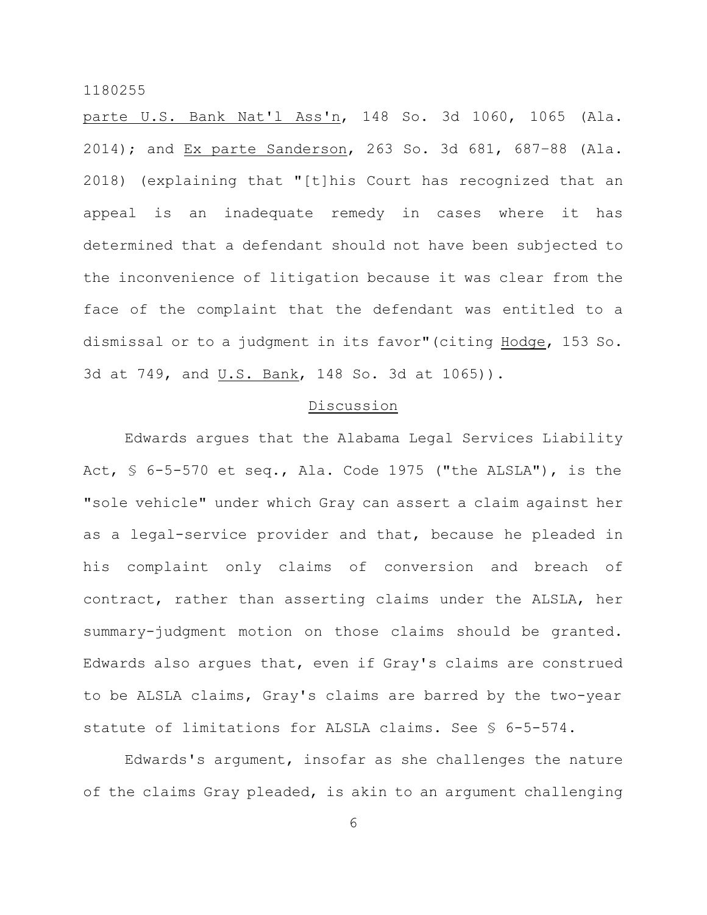parte U.S. Bank Nat'l Ass'n, 148 So. 3d 1060, 1065 (Ala. 2014); and Ex parte Sanderson, 263 So. 3d 681, 687–88 (Ala. 2018) (explaining that "[t]his Court has recognized that an appeal is an inadequate remedy in cases where it has determined that a defendant should not have been subjected to the inconvenience of litigation because it was clear from the face of the complaint that the defendant was entitled to a dismissal or to a judgment in its favor"(citing Hodge, 153 So. 3d at 749, and U.S. Bank, 148 So. 3d at 1065)).

# Discussion

Edwards argues that the Alabama Legal Services Liability Act, § 6-5-570 et seq., Ala. Code 1975 ("the ALSLA"), is the "sole vehicle" under which Gray can assert a claim against her as a legal-service provider and that, because he pleaded in his complaint only claims of conversion and breach of contract, rather than asserting claims under the ALSLA, her summary-judgment motion on those claims should be granted. Edwards also argues that, even if Gray's claims are construed to be ALSLA claims, Gray's claims are barred by the two-year statute of limitations for ALSLA claims. See § 6-5-574.

Edwards's argument, insofar as she challenges the nature of the claims Gray pleaded, is akin to an argument challenging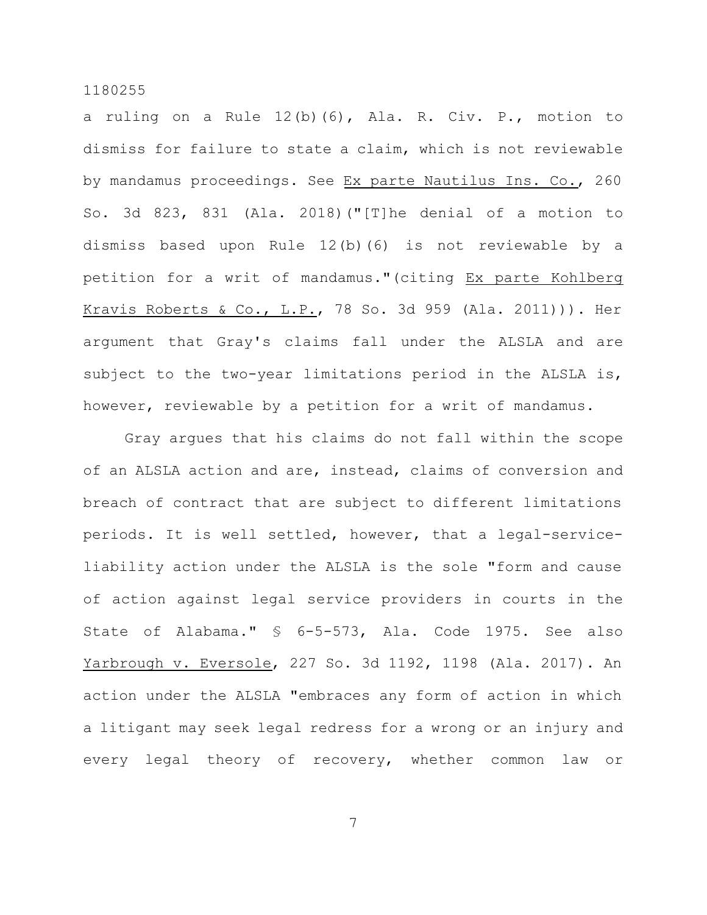a ruling on a Rule 12(b)(6), Ala. R. Civ. P., motion to dismiss for failure to state a claim, which is not reviewable by mandamus proceedings. See Ex parte Nautilus Ins. Co., 260 So. 3d 823, 831 (Ala. 2018)("[T]he denial of a motion to dismiss based upon Rule 12(b)(6) is not reviewable by a petition for a writ of mandamus."(citing Ex parte Kohlberg Kravis Roberts & Co., L.P., 78 So. 3d 959 (Ala. 2011))). Her argument that Gray's claims fall under the ALSLA and are subject to the two-year limitations period in the ALSLA is, however, reviewable by a petition for a writ of mandamus.

Gray argues that his claims do not fall within the scope of an ALSLA action and are, instead, claims of conversion and breach of contract that are subject to different limitations periods. It is well settled, however, that a legal-serviceliability action under the ALSLA is the sole "form and cause of action against legal service providers in courts in the State of Alabama." § 6-5-573, Ala. Code 1975. See also Yarbrough v. Eversole, 227 So. 3d 1192, 1198 (Ala. 2017). An action under the ALSLA "embraces any form of action in which a litigant may seek legal redress for a wrong or an injury and every legal theory of recovery, whether common law or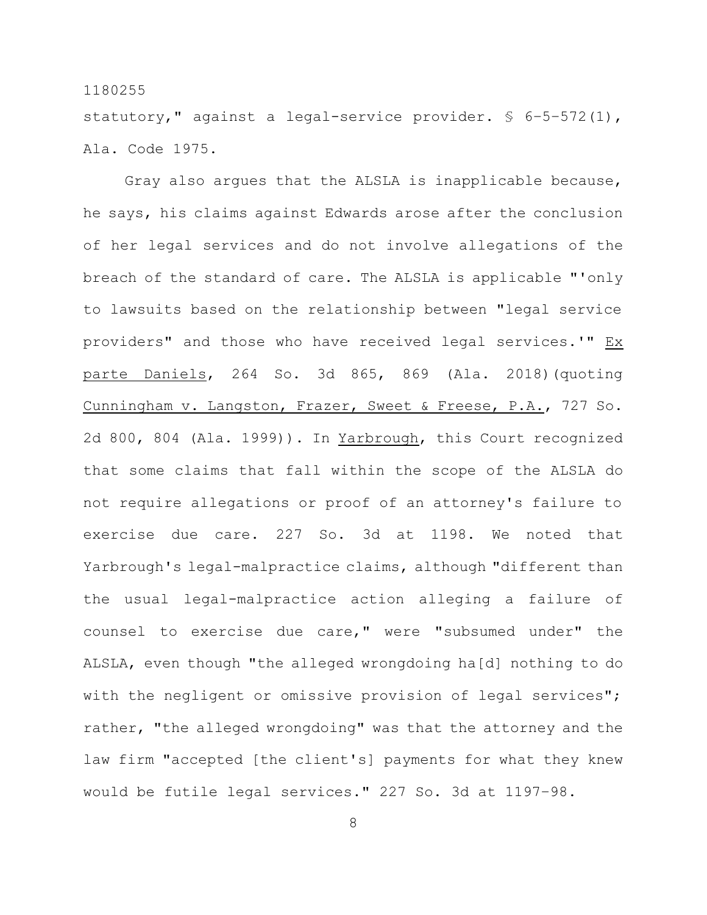statutory," against a legal-service provider. § 6–5–572(1), Ala. Code 1975.

Gray also argues that the ALSLA is inapplicable because, he says, his claims against Edwards arose after the conclusion of her legal services and do not involve allegations of the breach of the standard of care. The ALSLA is applicable "'only to lawsuits based on the relationship between "legal service providers" and those who have received legal services.'" Ex parte Daniels, 264 So. 3d 865, 869 (Ala. 2018)(quoting Cunningham v. Langston, Frazer, Sweet & Freese, P.A., 727 So. 2d 800, 804 (Ala. 1999)). In Yarbrough, this Court recognized that some claims that fall within the scope of the ALSLA do not require allegations or proof of an attorney's failure to exercise due care. 227 So. 3d at 1198. We noted that Yarbrough's legal-malpractice claims, although "different than the usual legal-malpractice action alleging a failure of counsel to exercise due care," were "subsumed under" the ALSLA, even though "the alleged wrongdoing ha[d] nothing to do with the negligent or omissive provision of legal services"; rather, "the alleged wrongdoing" was that the attorney and the law firm "accepted [the client's] payments for what they knew would be futile legal services." 227 So. 3d at 1197–98.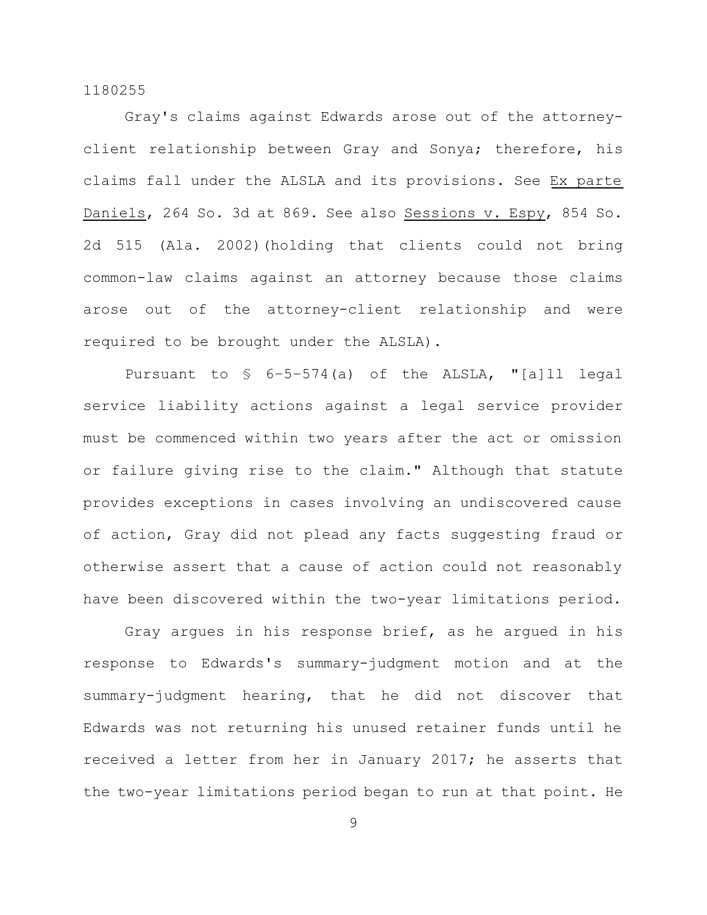Gray's claims against Edwards arose out of the attorneyclient relationship between Gray and Sonya; therefore, his claims fall under the ALSLA and its provisions. See Ex parte Daniels, 264 So. 3d at 869. See also Sessions v. Espy, 854 So. 2d 515 (Ala. 2002)(holding that clients could not bring common-law claims against an attorney because those claims arose out of the attorney-client relationship and were required to be brought under the ALSLA).

Pursuant to § 6–5–574(a) of the ALSLA, "[a]ll legal service liability actions against a legal service provider must be commenced within two years after the act or omission or failure giving rise to the claim." Although that statute provides exceptions in cases involving an undiscovered cause of action, Gray did not plead any facts suggesting fraud or otherwise assert that a cause of action could not reasonably have been discovered within the two-year limitations period.

Gray argues in his response brief, as he argued in his response to Edwards's summary-judgment motion and at the summary-judgment hearing, that he did not discover that Edwards was not returning his unused retainer funds until he received a letter from her in January 2017; he asserts that the two-year limitations period began to run at that point. He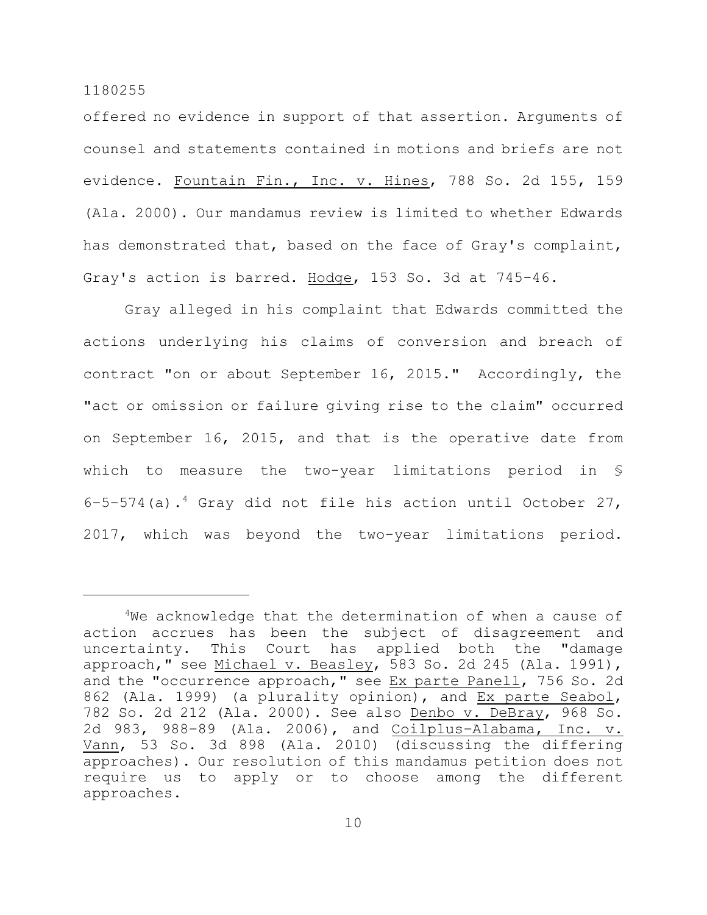offered no evidence in support of that assertion. Arguments of counsel and statements contained in motions and briefs are not evidence. Fountain Fin., Inc. v. Hines, 788 So. 2d 155, 159 (Ala. 2000). Our mandamus review is limited to whether Edwards has demonstrated that, based on the face of Gray's complaint, Gray's action is barred. Hodge, 153 So. 3d at 745-46.

Gray alleged in his complaint that Edwards committed the actions underlying his claims of conversion and breach of contract "on or about September 16, 2015." Accordingly, the "act or omission or failure giving rise to the claim" occurred on September 16, 2015, and that is the operative date from which to measure the two-year limitations period in § 6–5–574(a). <sup>4</sup> Gray did not file his action until October 27, 2017, which was beyond the two-year limitations period.

 $4$ We acknowledge that the determination of when a cause of action accrues has been the subject of disagreement and uncertainty. This Court has applied both the "damage approach," see Michael v. Beasley, 583 So. 2d 245 (Ala. 1991), and the "occurrence approach," see Ex parte Panell, 756 So. 2d 862 (Ala. 1999) (a plurality opinion), and Ex parte Seabol, 782 So. 2d 212 (Ala. 2000). See also Denbo v. DeBray, 968 So. 2d 983, 988–89 (Ala. 2006), and Coilplus–Alabama, Inc. v. Vann, 53 So. 3d 898 (Ala. 2010) (discussing the differing approaches). Our resolution of this mandamus petition does not require us to apply or to choose among the different approaches.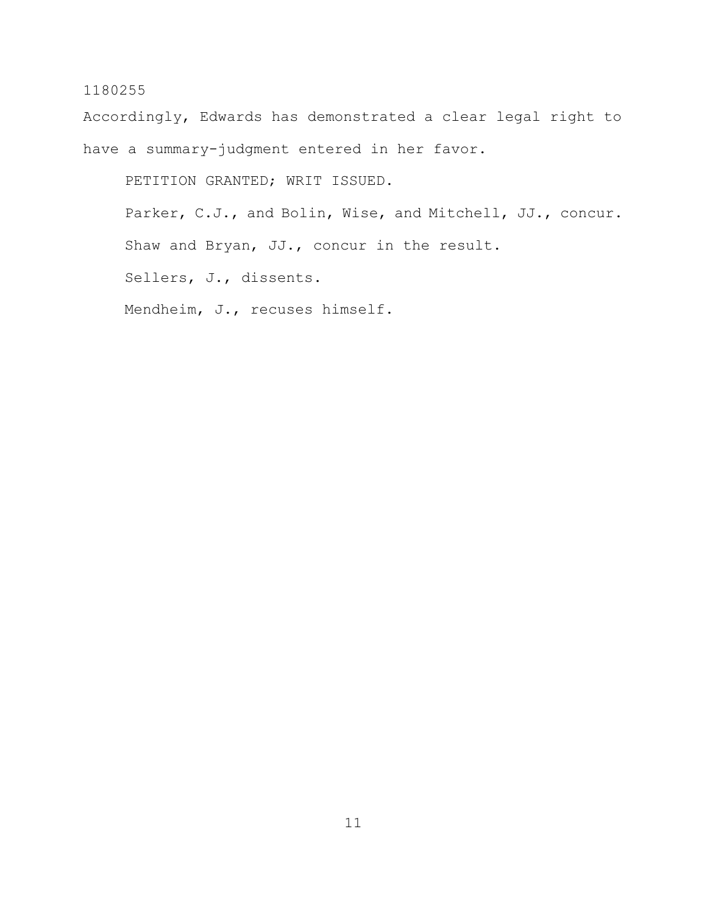Accordingly, Edwards has demonstrated a clear legal right to have a summary-judgment entered in her favor.

PETITION GRANTED; WRIT ISSUED.

Parker, C.J., and Bolin, Wise, and Mitchell, JJ., concur. Shaw and Bryan, JJ., concur in the result.

Sellers, J., dissents.

Mendheim, J., recuses himself.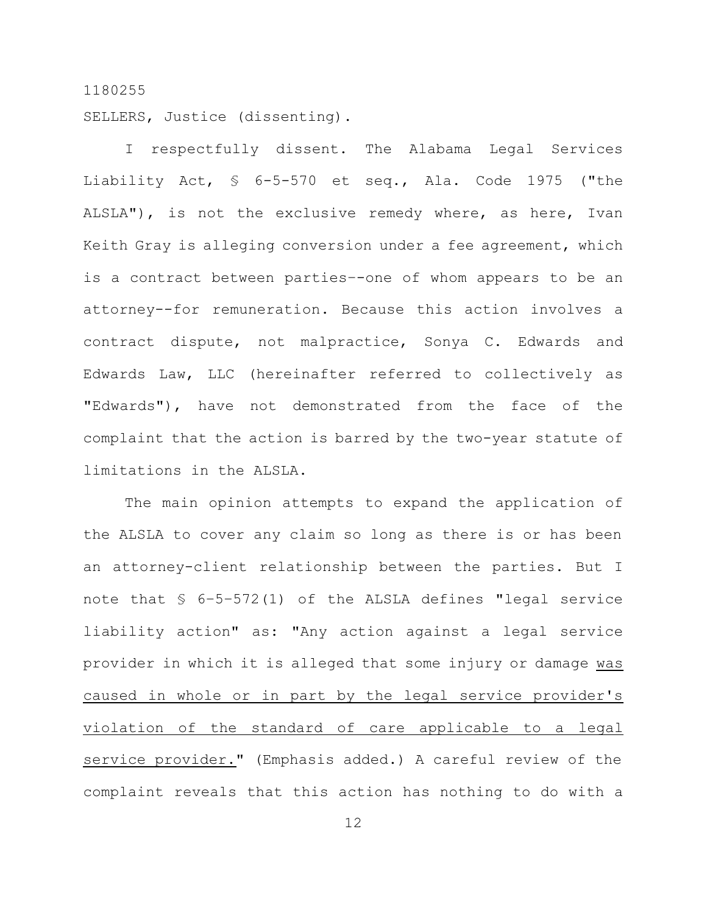SELLERS, Justice (dissenting).

I respectfully dissent. The Alabama Legal Services Liability Act, § 6-5-570 et seq., Ala. Code 1975 ("the ALSLA"), is not the exclusive remedy where, as here, Ivan Keith Gray is alleging conversion under a fee agreement, which is a contract between parties–-one of whom appears to be an attorney--for remuneration. Because this action involves a contract dispute, not malpractice, Sonya C. Edwards and Edwards Law, LLC (hereinafter referred to collectively as "Edwards"), have not demonstrated from the face of the complaint that the action is barred by the two-year statute of limitations in the ALSLA.

The main opinion attempts to expand the application of the ALSLA to cover any claim so long as there is or has been an attorney-client relationship between the parties. But I note that § 6–5–572(1) of the ALSLA defines "legal service liability action" as: "Any action against a legal service provider in which it is alleged that some injury or damage was caused in whole or in part by the legal service provider's violation of the standard of care applicable to a legal service provider." (Emphasis added.) A careful review of the complaint reveals that this action has nothing to do with a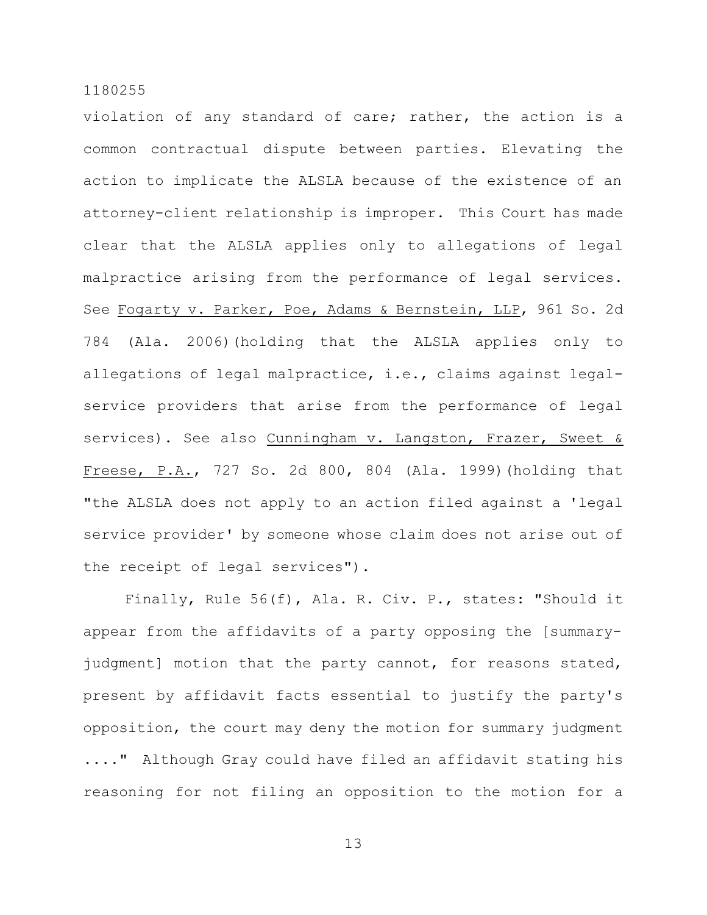violation of any standard of care; rather, the action is a common contractual dispute between parties. Elevating the action to implicate the ALSLA because of the existence of an attorney-client relationship is improper. This Court has made clear that the ALSLA applies only to allegations of legal malpractice arising from the performance of legal services. See Fogarty v. Parker, Poe, Adams & Bernstein, LLP, 961 So. 2d 784 (Ala. 2006)(holding that the ALSLA applies only to allegations of legal malpractice, i.e., claims against legalservice providers that arise from the performance of legal services). See also Cunningham v. Langston, Frazer, Sweet & Freese, P.A., 727 So. 2d 800, 804 (Ala. 1999)(holding that "the ALSLA does not apply to an action filed against a 'legal service provider' by someone whose claim does not arise out of the receipt of legal services").

Finally, Rule 56(f), Ala. R. Civ. P., states: "Should it appear from the affidavits of a party opposing the [summaryjudgment] motion that the party cannot, for reasons stated, present by affidavit facts essential to justify the party's opposition, the court may deny the motion for summary judgment ...." Although Gray could have filed an affidavit stating his reasoning for not filing an opposition to the motion for a